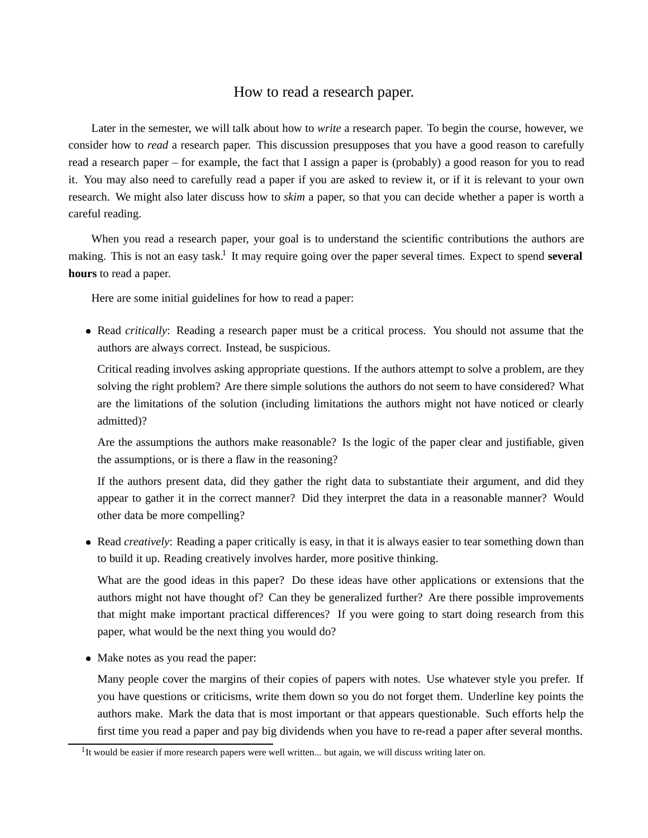## How to read a research paper.

Later in the semester, we will talk about how to *write* a research paper. To begin the course, however, we consider how to *read* a research paper. This discussion presupposes that you have a good reason to carefully read a research paper – for example, the fact that I assign a paper is (probably) a good reason for you to read it. You may also need to carefully read a paper if you are asked to review it, or if it is relevant to your own research. We might also later discuss how to *skim* a paper, so that you can decide whether a paper is worth a careful reading.

When you read a research paper, your goal is to understand the scientific contributions the authors are making. This is not an easy task.<sup>1</sup> It may require going over the paper several times. Expect to spend **several hours** to read a paper.

Here are some initial guidelines for how to read a paper:

 Read *critically*: Reading a research paper must be a critical process. You should not assume that the authors are always correct. Instead, be suspicious.

Critical reading involves asking appropriate questions. If the authors attempt to solve a problem, are they solving the right problem? Are there simple solutions the authors do not seem to have considered? What are the limitations of the solution (including limitations the authors might not have noticed or clearly admitted)?

Are the assumptions the authors make reasonable? Is the logic of the paper clear and justifiable, given the assumptions, or is there a flaw in the reasoning?

If the authors present data, did they gather the right data to substantiate their argument, and did they appear to gather it in the correct manner? Did they interpret the data in a reasonable manner? Would other data be more compelling?

 Read *creatively*: Reading a paper critically is easy, in that it is always easier to tear something down than to build it up. Reading creatively involves harder, more positive thinking.

What are the good ideas in this paper? Do these ideas have other applications or extensions that the authors might not have thought of? Can they be generalized further? Are there possible improvements that might make important practical differences? If you were going to start doing research from this paper, what would be the next thing you would do?

• Make notes as you read the paper:

Many people cover the margins of their copies of papers with notes. Use whatever style you prefer. If you have questions or criticisms, write them down so you do not forget them. Underline key points the authors make. Mark the data that is most important or that appears questionable. Such efforts help the first time you read a paper and pay big dividends when you have to re-read a paper after several months.

 $1$ It would be easier if more research papers were well written... but again, we will discuss writing later on.